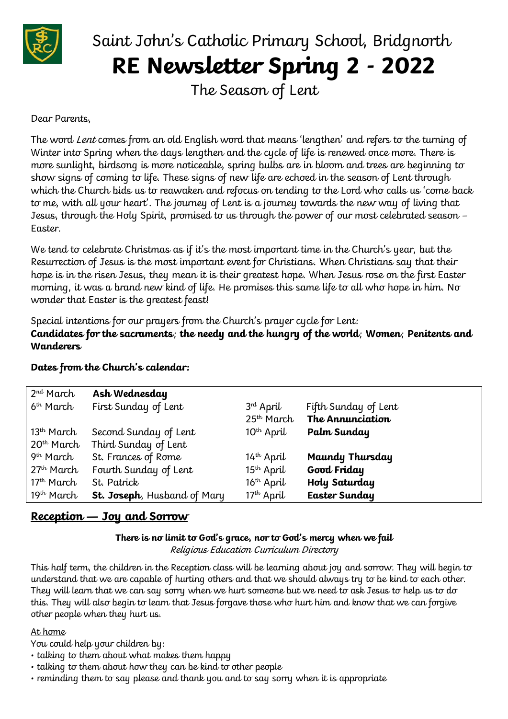

# Saint John's Catholic Primary School, Bridgnorth **RE Newsletter Spring 2 - 2022**

The Season of Lent

## Dear Parents,

The word Lent comes from an old English word that means 'lengthen' and refers to the turning of Winter into Spring when the days lengthen and the cycle of life is renewed once more. There is more sunlight, birdsong is more noticeable, spring bulbs are in bloom and trees are beginning to show signs of coming to life. These signs of new life are echoed in the season of Lent through which the Church bids us to reawaken and refocus on tending to the Lord who calls us 'come back to me, with all your heart'. The journey of Lent is a journey towards the new way of living that Jesus, through the Holy Spirit, promised to us through the power of our most celebrated season – Easter.

We tend to celebrate Christmas as if it's the most important time in the Church's year, but the Resurrection of Jesus is the most important event for Christians. When Christians say that their hope is in the risen Jesus, they mean it is their greatest hope. When Jesus rose on the first Easter morning, it was a brand new kind of life. He promises this same life to all who hope in him. No wonder that Easter is the greatest feast!

Special intentions for our prayers from the Church's prayer cycle for Lent: **Candidates for the sacraments**; **the needy and the hungry of the world**; **Women**; **Penitents and Wanderers**

| 2 <sup>nd</sup> March  | Ash Wednesday               |                                       |                                          |
|------------------------|-----------------------------|---------------------------------------|------------------------------------------|
| 6 <sup>th</sup> March  | First Sunday of Lent        | $3rd$ April<br>25 <sup>th</sup> March | Fifth Sunday of Lent<br>The Annunciation |
|                        |                             |                                       |                                          |
| $13th$ March           | Second Sunday of Lent       | $10^{th}$ April                       | Palm Sunday                              |
| 20 <sup>th</sup> March | Third Sunday of Lent        |                                       |                                          |
| 9 <sup>th</sup> March  | St. Frances of Rome         | $14th$ April                          | Maundy Thursday                          |
| $27th$ March           | Fourth Sunday of Lent       | $15th$ April                          | Good Friday                              |
| $17th$ March           | St. Patrick                 | $16th$ April                          | Holy Saturday                            |
| 19 <sup>th</sup> March | St. Joseph, Husband of Mary | $17th$ April                          | <b>Easter Sunday</b>                     |

## **Dates from the Church's calendar:**

# **Reception — Joy and Sorrow**

**There is no limit to God's grace, nor to God's mercy when we fail** Religious Education Curriculum Directory

This half term, the children in the Reception class will be learning about joy and sorrow. They will begin to understand that we are capable of hurting others and that we should always try to be kind to each other. They will learn that we can say sorry when we hurt someone but we need to ask Jesus to help us to do this. They will also begin to learn that Jesus forgave those who hurt him and know that we can forgive other people when they hurt us.

## At home

You could help your children by:

- talking to them about what makes them happy
- talking to them about how they can be kind to other people
- reminding them to say please and thank you and to say sorry when it is appropriate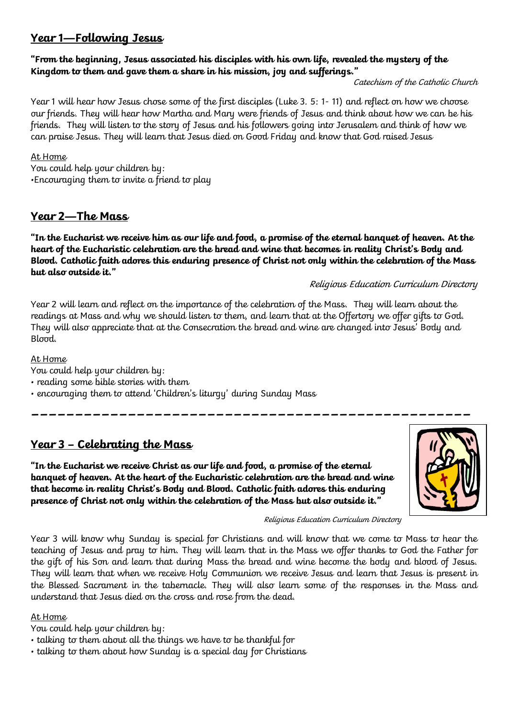# **Year 1—Following Jesus**

## **"From the beginning, Jesus associated his disciples with his own life, revealed the mystery of the Kingdom to them and gave them a share in his mission, joy and sufferings."**

Catechism of the Catholic Church

Year 1 will hear how Jesus chose some of the first disciples (Luke 3. 5: 1- 11) and reflect on how we choose our friends. They will hear how Martha and Mary were friends of Jesus and think about how we can be his friends. They will listen to the story of Jesus and his followers going into Jerusalem and think of how we can praise Jesus. They will learn that Jesus died on Good Friday and know that God raised Jesus

At Home

You could help your children by: •Encouraging them to invite a friend to play

# **Year 2—The Mass**

**"In the Eucharist we receive him as our life and food, a promise of the eternal banquet of heaven. At the heart of the Eucharistic celebration are the bread and wine that becomes in reality Christ's Body and Blood. Catholic faith adores this enduring presence of Christ not only within the celebration of the Mass but also outside it."**

## Religious Education Curriculum Directory

Year 2 will learn and reflect on the importance of the celebration of the Mass. They will learn about the readings at Mass and why we should listen to them, and learn that at the Offertory we offer gifts to God. They will also appreciate that at the Consecration the bread and wine are changed into Jesus' Body and Blood.

**\_\_\_\_\_\_\_\_\_\_\_\_\_\_\_\_\_\_\_\_\_\_\_\_\_\_\_\_\_\_\_\_\_\_\_\_\_\_\_\_\_\_\_\_\_\_\_\_\_\_**

At Home

- You could help your children by:
- reading some bible stories with them
- encouraging them to attend 'Children's liturgy' during Sunday Mass

# **Year 3 – Celebrating the Mass**

**"In the Eucharist we receive Christ as our life and food, a promise of the eternal banquet of heaven. At the heart of the Eucharistic celebration are the bread and wine that become in reality Christ's Body and Blood. Catholic faith adores this enduring presence of Christ not only within the celebration of the Mass but also outside it."** 



#### Religious Education Curriculum Directory

Year 3 will know why Sunday is special for Christians and will know that we come to Mass to hear the teaching of Jesus and pray to him. They will learn that in the Mass we offer thanks to God the Father for the gift of his Son and learn that during Mass the bread and wine become the body and blood of Jesus. They will learn that when we receive Holy Communion we receive Jesus and learn that Jesus is present in the Blessed Sacrament in the tabernacle. They will also learn some of the responses in the Mass and understand that Jesus died on the cross and rose from the dead.

## At Home

You could help your children by:

- talking to them about all the things we have to be thankful for
- talking to them about how Sunday is a special day for Christians